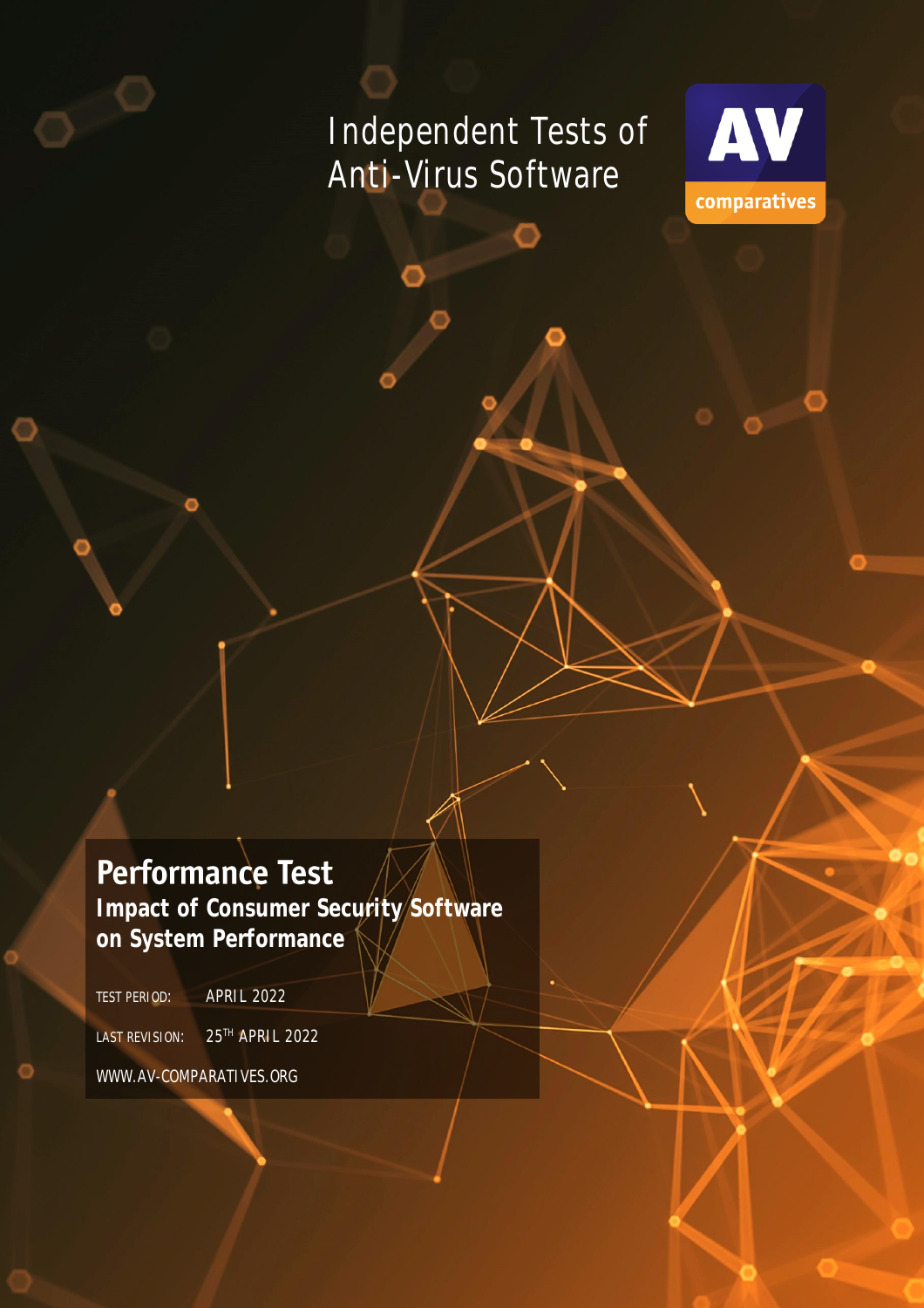# Independent Tests of Anti-Virus Software



# **Performance Test**

**Impact of Consumer Security Software on System Performance**

TEST PERIOD: APRIL 2022

LAST REVISION: 25<sup>TH</sup> APRIL 2022

WWW.AV-COMPARATIVES.ORG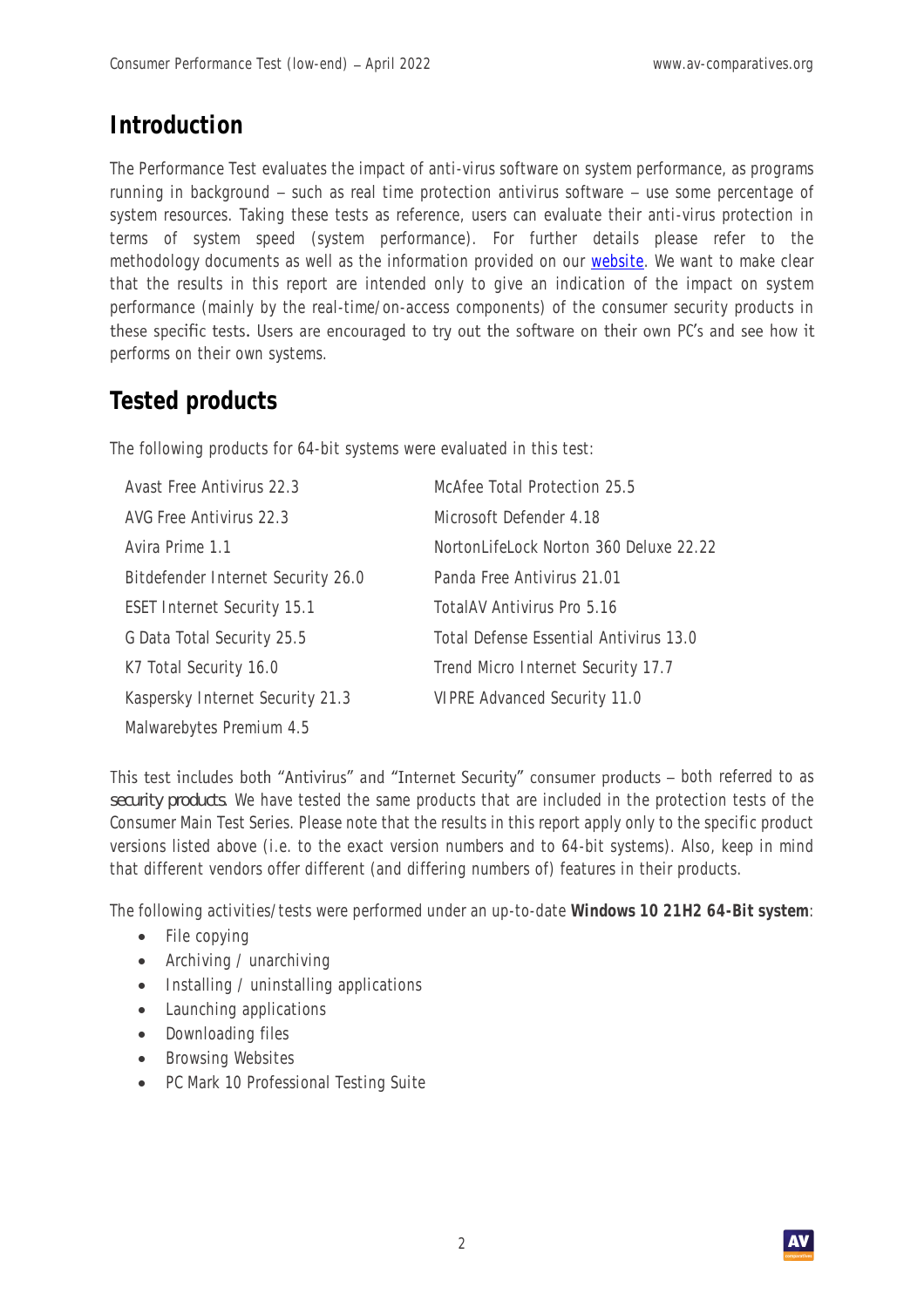### **Introduction**

The Performance Test evaluates the impact of anti-virus software on system performance, as programs running in background - such as real time protection antivirus software - use some percentage of system resources. Taking these tests as reference, users can evaluate their anti-virus protection in terms of system speed (system performance). For further details please refer to the [methodology](/performance-test-methodology) documents as well as the information provided on our [website.](https://www.av-comparatives.org/performance-test-methodology/) We want to make clear that the results in this report are intended only to give an indication of the impact on system performance (mainly by the real-time/on-access components) of the consumer security products in these specific tests. Users are encouraged to try out the software on their own PC's and see how it performs on their own systems.

# **Tested products**

The following products for 64-bit systems were evaluated in this test:

| Avast Free Antivirus 22.3          | McAfee Total Protection 25.5           |
|------------------------------------|----------------------------------------|
| AVG Free Antivirus 22.3            | Microsoft Defender 4.18                |
| Avira Prime 1.1                    | NortonLifeLock Norton 360 Deluxe 22.22 |
| Bitdefender Internet Security 26.0 | Panda Free Antivirus 21.01             |
| <b>ESET Internet Security 15.1</b> | TotalAV Antivirus Pro 5.16             |
| G Data Total Security 25.5         | Total Defense Essential Antivirus 13.0 |
| K7 Total Security 16.0             | Trend Micro Internet Security 17.7     |
| Kaspersky Internet Security 21.3   | VIPRE Advanced Security 11.0           |
| Malwarebytes Premium 4.5           |                                        |

This test includes both "Antivirus" and "Internet Security" consumer products - both referred to as *security products*. We have tested the same products that are included in the protection tests of the Consumer Main Test Series. Please note that the results in this report apply only to the specific product versions listed above (i.e. to the exact version numbers and to 64-bit systems). Also, keep in mind that different vendors offer different (and differing numbers of) features in their products.

The following activities/tests were performed under an up-to-date **Windows 10 21H2 64-Bit system**:

- File copying
- Archiving / unarchiving
- Installing / uninstalling applications
- Launching applications
- Downloading files
- Browsing Websites
- PC Mark 10 Professional Testing Suite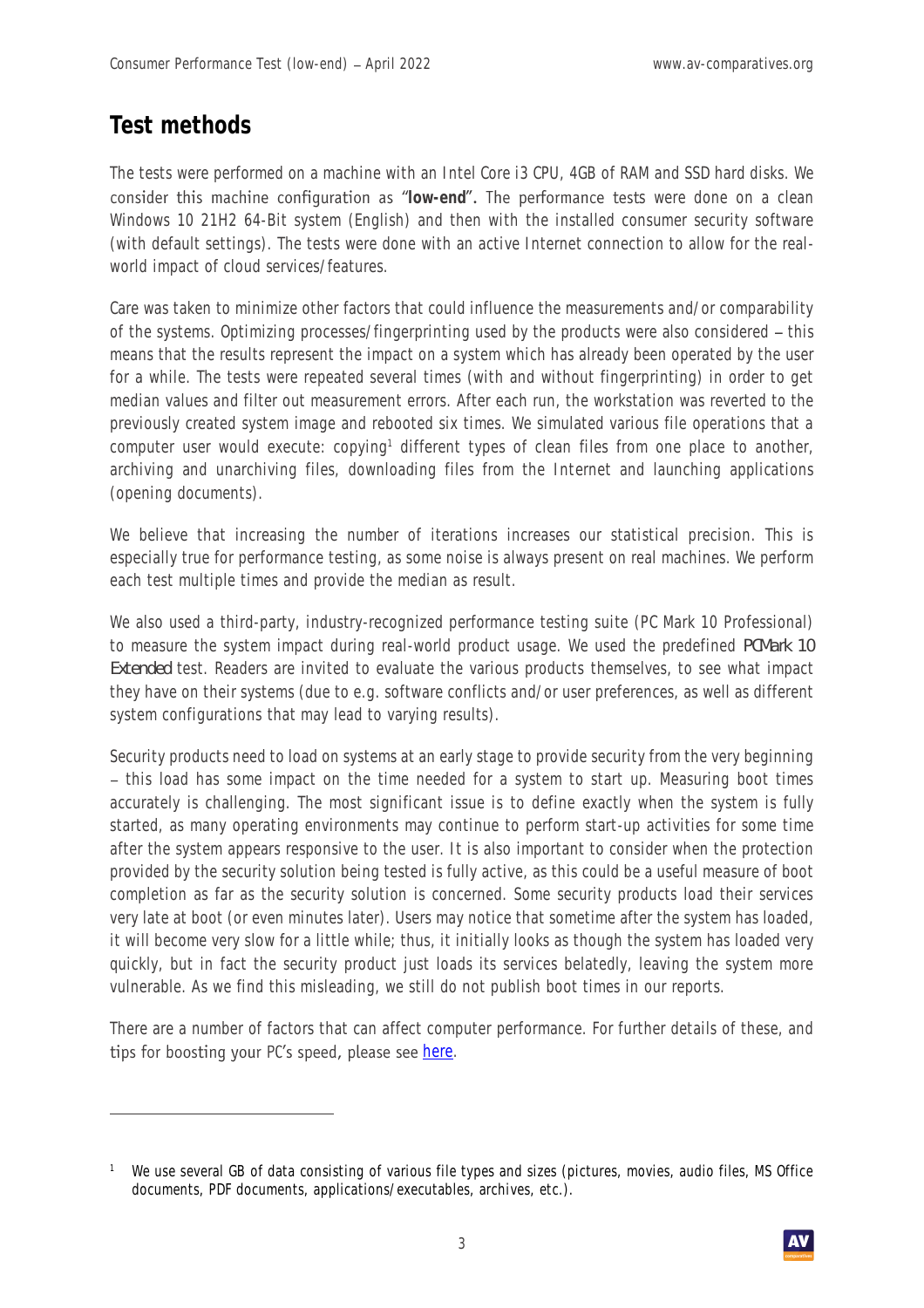### **Test methods**

The tests were performed on a machine with an Intel Core i3 CPU, 4GB of RAM and SSD hard disks. We consider this machine configuration as "low-end". The performance tests were done on a clean Windows 10 21H2 64-Bit system (English) and then with the installed consumer security software (with default settings). The tests were done with an active Internet connection to allow for the realworld impact of cloud services/features.

Care was taken to minimize other factors that could influence the measurements and/or comparability of the systems. Optimizing processes/fingerprinting used by the products were also considered – this means that the results represent the impact on a system which has already been operated by the user for a while. The tests were repeated several times (with and without fingerprinting) in order to get median values and filter out measurement errors. After each run, the workstation was reverted to the previously created system image and rebooted six times. We simulated various file operations that a computer user would execute: copying<sup>1</sup> different types of clean files from one place to another, archiving and unarchiving files, downloading files from the Internet and launching applications (opening documents).

We believe that increasing the number of iterations increases our statistical precision. This is especially true for performance testing, as some noise is always present on real machines. We perform each test multiple times and provide the median as result.

We also used a third-party, industry-recognized performance testing suite (PC Mark 10 Professional) to measure the system impact during real-world product usage. We used the predefined *PCMark 10 Extended* test. Readers are invited to evaluate the various products themselves, to see what impact they have on their systems (due to e.g. software conflicts and/or user preferences, as well as different system configurations that may lead to varying results).

Security products need to load on systems at an early stage to provide security from the very beginning - this load has some impact on the time needed for a system to start up. Measuring boot times accurately is challenging. The most significant issue is to define exactly when the system is fully started, as many operating environments may continue to perform start-up activities for some time after the system appears responsive to the user. It is also important to consider when the protection provided by the security solution being tested is fully active, as this could be a useful measure of boot completion as far as the security solution is concerned. Some security products load their services very late at boot (or even minutes later). Users may notice that sometime after the system has loaded, it will become very slow for a little while; thus, it initially looks as though the system has loaded very quickly, but in fact the security product just loads its services belatedly, leaving the system more vulnerable. As we find this misleading, we still do not publish boot times in our reports.

There are a number of factors that can affect computer performance. For further details of these, and tips for boosting your PC's speed, please see [here.](https://www.av-comparatives.org/spotlight-on-security-antivirus-system-performance/)

<sup>&</sup>lt;sup>1</sup> We use several GB of data consisting of various file types and sizes (pictures, movies, audio files, MS Office documents, PDF documents, applications/executables, archives, etc.).

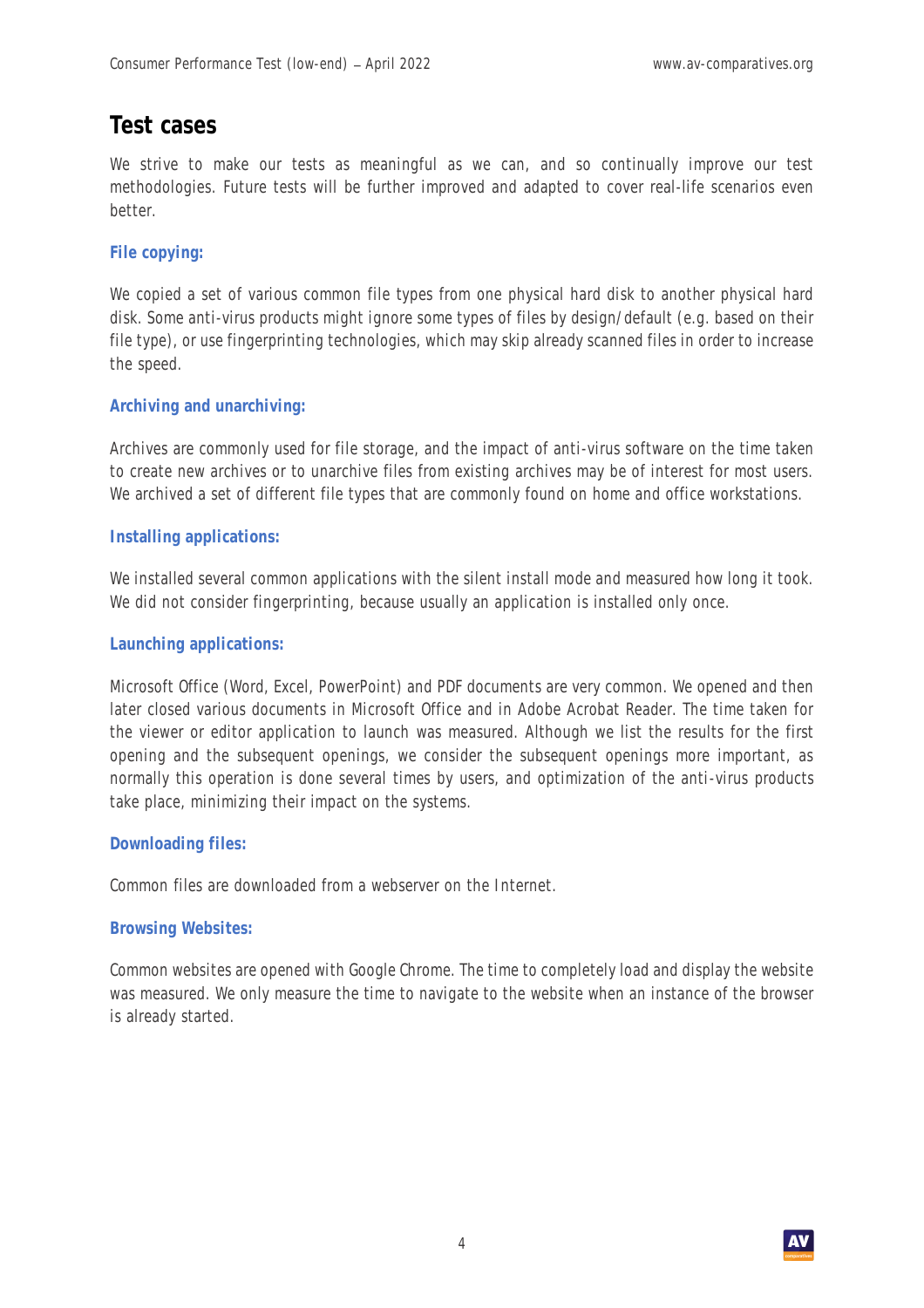### **Test cases**

We strive to make our tests as meaningful as we can, and so continually improve our test methodologies. Future tests will be further improved and adapted to cover real-life scenarios even better.

#### **File copying:**

We copied a set of various common file types from one physical hard disk to another physical hard disk. Some anti-virus products might ignore some types of files by design/default (e.g. based on their file type), or use fingerprinting technologies, which may skip already scanned files in order to increase the speed.

#### **Archiving and unarchiving:**

Archives are commonly used for file storage, and the impact of anti-virus software on the time taken to create new archives or to unarchive files from existing archives may be of interest for most users. We archived a set of different file types that are commonly found on home and office workstations.

#### **Installing applications:**

We installed several common applications with the silent install mode and measured how long it took. We did not consider fingerprinting, because usually an application is installed only once.

#### **Launching applications:**

Microsoft Office (Word, Excel, PowerPoint) and PDF documents are very common. We opened and then later closed various documents in Microsoft Office and in Adobe Acrobat Reader. The time taken for the viewer or editor application to launch was measured. Although we list the results for the first opening and the subsequent openings, we consider the subsequent openings more important, as normally this operation is done several times by users, and optimization of the anti-virus products take place, minimizing their impact on the systems.

#### **Downloading files:**

Common files are downloaded from a webserver on the Internet.

#### **Browsing Websites:**

Common websites are opened with Google Chrome. The time to completely load and display the website was measured. We only measure the time to navigate to the website when an instance of the browser is already started.

4

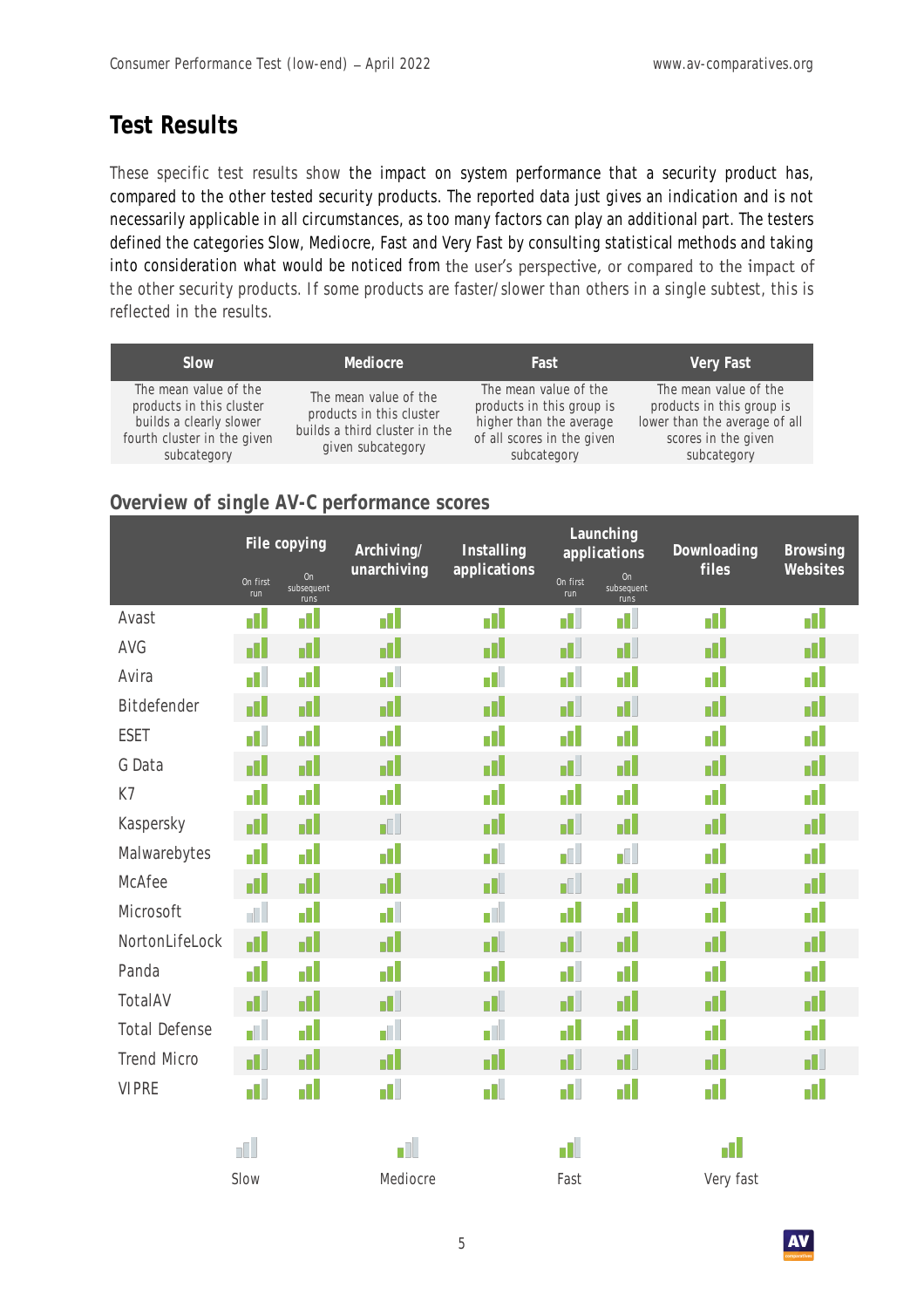## **Test Results**

These specific test results show the impact on system performance that a security product has, compared to the other tested security products. The reported data just gives an indication and is not necessarily applicable in all circumstances, as too many factors can play an additional part. The testers defined the categories Slow, Mediocre, Fast and Very Fast by consulting statistical methods and taking into consideration what would be noticed from the user's perspective, or compared to the impact of the other security products. If some products are faster/slower than others in a single subtest, this is reflected in the results.

| Slow                                                                                                                       | Mediocre                                                                                                | Fast                                                                                                                       | Very Fast                                                                                                                 |
|----------------------------------------------------------------------------------------------------------------------------|---------------------------------------------------------------------------------------------------------|----------------------------------------------------------------------------------------------------------------------------|---------------------------------------------------------------------------------------------------------------------------|
| The mean value of the<br>products in this cluster<br>builds a clearly slower<br>fourth cluster in the given<br>subcategory | The mean value of the<br>products in this cluster<br>builds a third cluster in the<br>given subcategory | The mean value of the<br>products in this group is<br>higher than the average<br>of all scores in the given<br>subcategory | The mean value of the<br>products in this group is<br>lower than the average of all<br>scores in the given<br>subcategory |

### **Overview of single AV-C performance scores**

|                      |                 | File copying             | Archiving/  | Installing   | Launching<br>applications |                          | Downloading | Browsing<br>Websites |
|----------------------|-----------------|--------------------------|-------------|--------------|---------------------------|--------------------------|-------------|----------------------|
|                      | On first<br>run | On<br>subsequent<br>runs | unarchiving | applications |                           | On<br>subsequent<br>runs | files       |                      |
| Avast                | n               | d۱                       | d I         | d۱           | d.                        | d.                       | d۱          | d                    |
| AVG                  | d               | d                        | d           | d            | d.                        | d.                       | d           | d                    |
| Avira                | d.              | d                        | d۱          | d.           | d.                        | d۱                       | d۱          | d                    |
| Bitdefender          | d١              | d                        | d           | п            | d.                        | a.                       | d.          | d                    |
| ESET                 | d.              | d                        | d           | d            | d                         | d                        | d           | d                    |
| G Data               | d               | d                        | d           | d            | d.                        | d                        | d           | d                    |
| K7                   | d.              | d                        | n l         | d.           | d.                        | d۱                       | d۱          | d                    |
| Kaspersky            | d               | d                        | d.          | d            | d.                        | d                        | d           | d                    |
| Malwarebytes         | d۱              | d                        | n I         | d.           | d۱                        | al.                      | d.          | d                    |
| <b>McAfee</b>        | d               | d                        | d           | d.           | d.                        | d                        | d           | d                    |
| Microsoft            | d.              | d                        | d۱          | a l          | d۱                        | d                        | d۱          | d                    |
| NortonLifeLock       | d               | d                        | d           | d.           | d.                        | d                        | d           | d                    |
| Panda                | d.              | d                        | d۱          | d.           | d.                        | d۱                       | d.          | d                    |
| TotalAV              | d.              | d                        | d.          | d.           | d.                        | d                        | d           | d                    |
| <b>Total Defense</b> | a l             | d                        | d۱          | ď.           | 11                        | d                        | d.          | d                    |
| <b>Trend Micro</b>   | al I            | d                        | d           | d            | d.                        | d.                       | d           | d.                   |
| <b>VIPRE</b>         | d.              | d                        | H.          | d.           | d.                        | пl                       | d۱          | d.                   |
|                      | d.              |                          | d.          |              | d.                        |                          | d           |                      |
|                      | Slow            |                          | Mediocre    |              | Fast                      |                          | Very fast   |                      |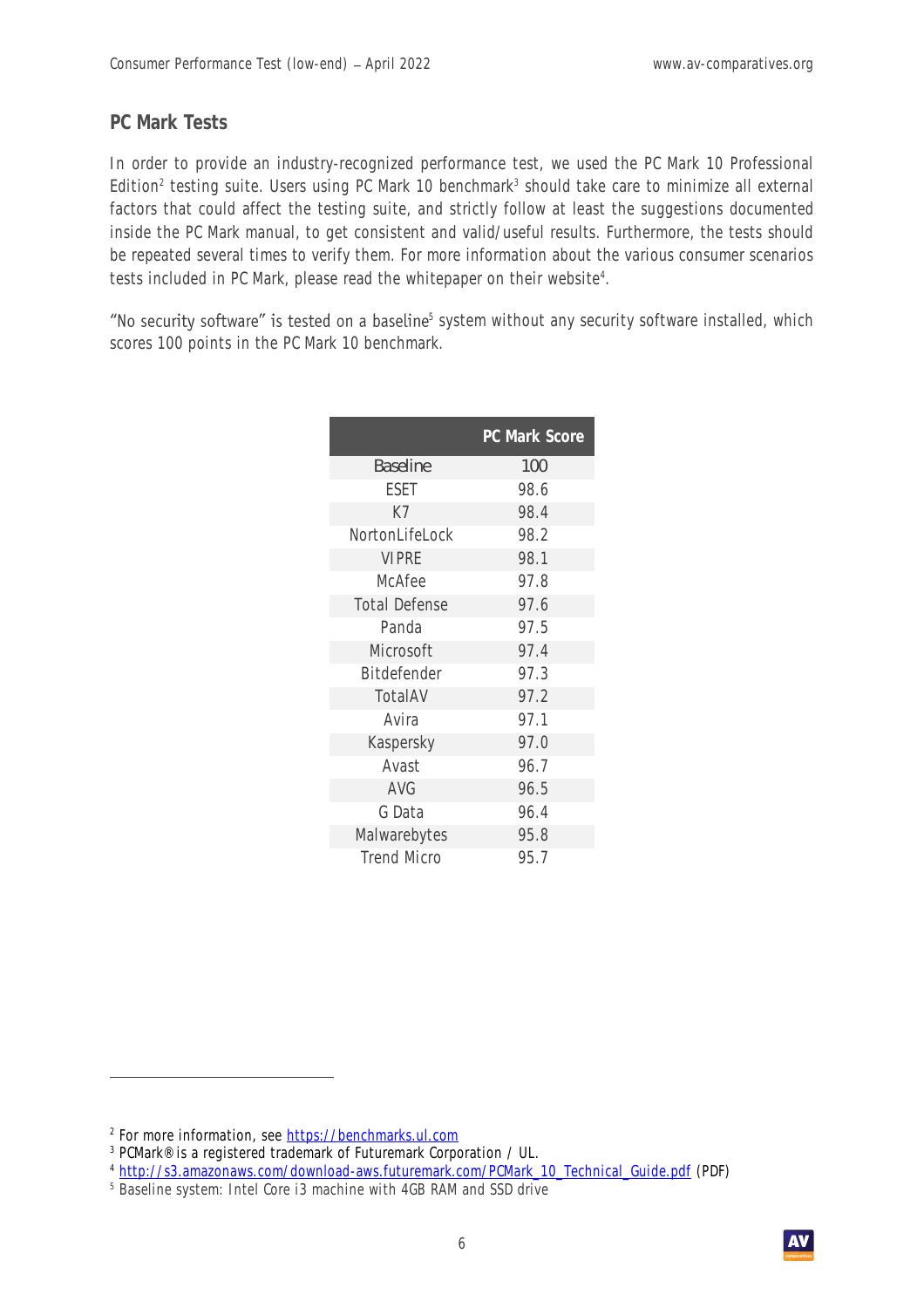#### **PC Mark Tests**

In order to provide an industry-recognized performance test, we used the PC Mark 10 Professional Edition<sup>2</sup> testing suite. Users using PC Mark 10 benchmark<sup>3</sup> should take care to minimize all external factors that could affect the testing suite, and strictly follow at least the suggestions documented inside the PC Mark manual, to get consistent and valid/useful results. Furthermore, the tests should be repeated several times to verify them. For more information about the various consumer scenarios tests included in PC Mark, please read the whitepaper on their website<sup>4</sup>.

5 system without any security software installed, which scores 100 points in the PC Mark 10 benchmark.

|                      | PC Mark Score |
|----------------------|---------------|
| Baseline             | 100           |
| ESET                 | 98.6          |
| K7                   | 98.4          |
| NortonLifeLock       | 98.2          |
| <b>VIPRE</b>         | 98.1          |
| McAfee               | 97.8          |
| <b>Total Defense</b> | 97.6          |
| Panda                | 97.5          |
| Microsoft            | 97.4          |
| Bitdefender          | 97.3          |
| TotalAV              | 97.2          |
| Avira                | 97.1          |
| Kaspersky            | 97.0          |
| Avast                | 96.7          |
| AVG                  | 96.5          |
| G Data               | 96.4          |
| Malwarebytes         | 95.8          |
| <b>Trend Micro</b>   | 95.7          |

<sup>&</sup>lt;sup>2</sup> For more information, see <u>https://benchmarks.ul.com</u>

<sup>3</sup> PCMark® is a registered trademark of Futuremark Corporation / UL.

<sup>4</sup> [http://s3.amazonaws.com/download-aws.futuremark.com/PCMark\\_10\\_Technical\\_Guide.pdf](http://s3.amazonaws.com/download-aws.futuremark.com/PCMark_10_Technical_Guide.pdf) (PDF)

<sup>&</sup>lt;sup>5</sup> Baseline system: Intel Core i3 machine with 4GB RAM and SSD drive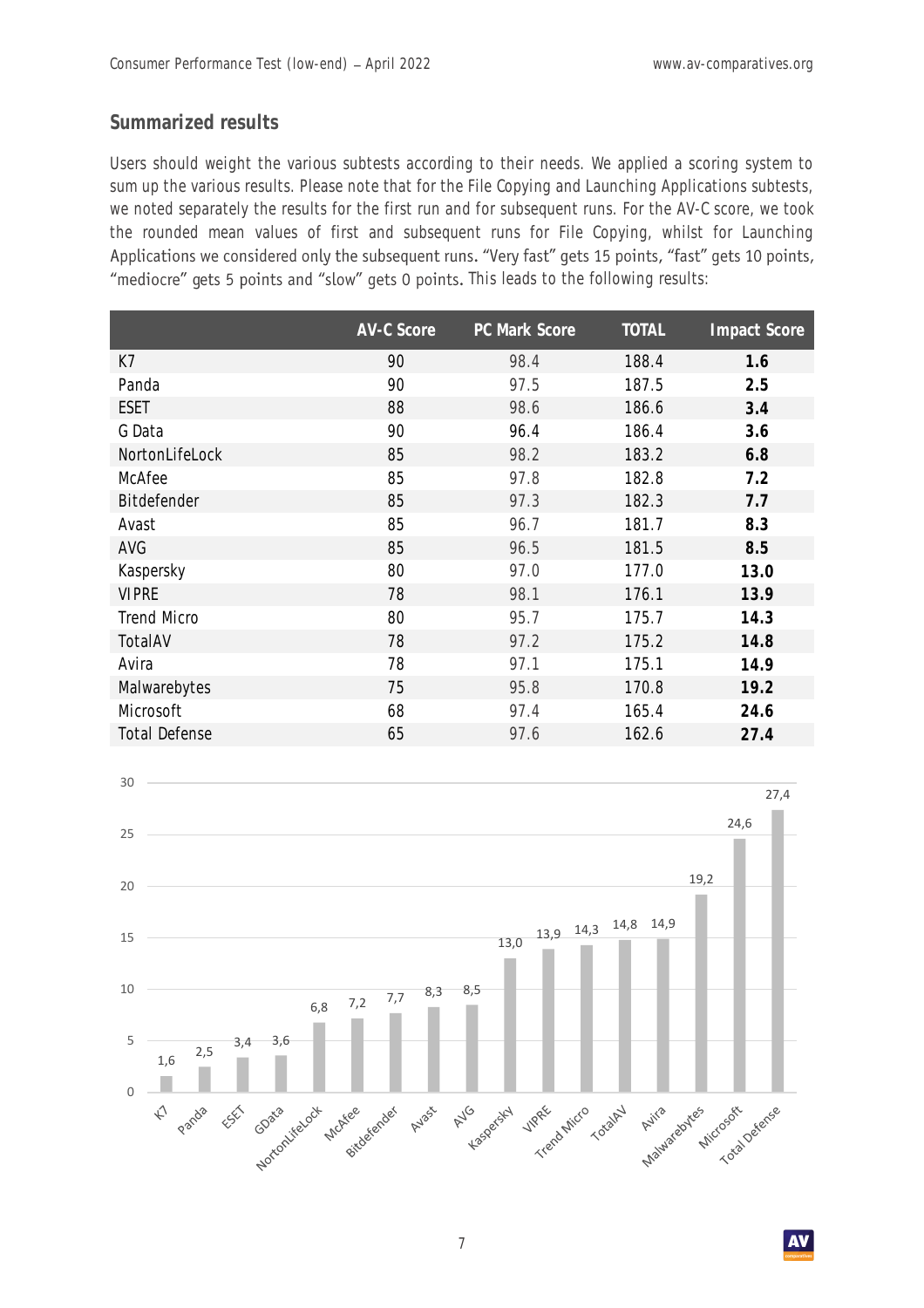#### **Summarized results**

Users should weight the various subtests according to their needs. We applied a scoring system to sum up the various results. Please note that for the File Copying and Launching Applications subtests, we noted separately the results for the first run and for subsequent runs. For the AV-C score, we took the rounded mean values of first and subsequent runs for File Copying, whilst for Launching Applications we considered only the subsequent runs. "Very fast" gets 15 points, "fast" gets 10 points, "mediocre" gets 5 points and "slow" gets 0 points. This leads to the following results:

|                      | <b>AV-C Score</b> | PC Mark Score | <b>TOTAL</b> | Impact Score |
|----------------------|-------------------|---------------|--------------|--------------|
| K7                   | 90                | 98.4          | 188.4        | 1.6          |
| Panda                | 90                | 97.5          | 187.5        | 2.5          |
| <b>ESET</b>          | 88                | 98.6          | 186.6        | 3.4          |
| G Data               | 90                | 96.4          | 186.4        | 3.6          |
| NortonLifeLock       | 85                | 98.2          | 183.2        | 6.8          |
| McAfee               | 85                | 97.8          | 182.8        | 7.2          |
| Bitdefender          | 85                | 97.3          | 182.3        | 7.7          |
| Avast                | 85                | 96.7          | 181.7        | 8.3          |
| AVG                  | 85                | 96.5          | 181.5        | 8.5          |
| Kaspersky            | 80                | 97.0          | 177.0        | 13.0         |
| <b>VIPRE</b>         | 78                | 98.1          | 176.1        | 13.9         |
| <b>Trend Micro</b>   | 80                | 95.7          | 175.7        | 14.3         |
| TotalAV              | 78                | 97.2          | 175.2        | 14.8         |
| Avira                | 78                | 97.1          | 175.1        | 14.9         |
| Malwarebytes         | 75                | 95.8          | 170.8        | 19.2         |
| Microsoft            | 68                | 97.4          | 165.4        | 24.6         |
| <b>Total Defense</b> | 65                | 97.6          | 162.6        | 27.4         |

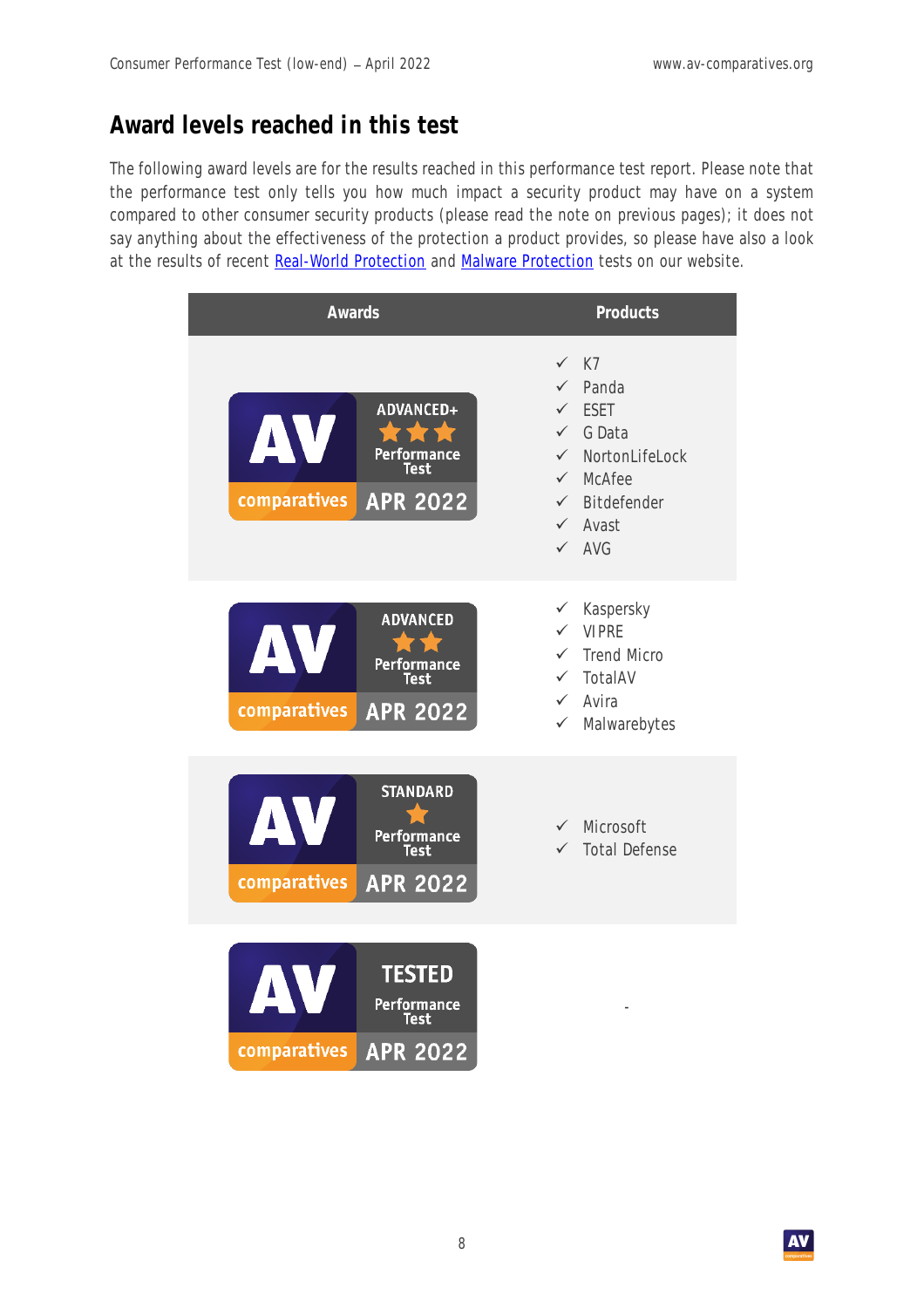# **Award levels reached in this test**

The following award levels are for the results reached in this performance test report. Please note that the performance test only tells you how much impact a security product may have on a system compared to other consumer security products (please read the note on previous pages); it does not say anything about the effectiveness of the protection a product provides, so please have also a look at the results of recent [Real-World Protection](https://www.av-comparatives.org/dynamic-tests/) and [Malware Protection](https://www.av-comparatives.org/malware-protection-test/) tests on our website.